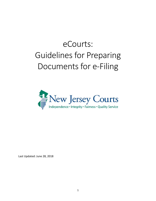# eCourts: Guidelines for Preparing Documents for e-Filing



Last Updated: June 28, 2018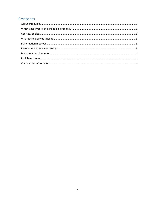# Contents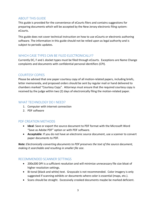# <span id="page-2-0"></span>ABOUT THIS GUIDE

This guide is provided for the convenience of eCourts filers and contains suggestions for preparing documents which will be accepted by the New Jersey electronic filing system: eCourts.

This guide does not cover technical instruction on how to use eCourts or electronic authoring software. The information in this guide should not be relied upon as legal authority and is subject to periodic updates.

#### <span id="page-2-1"></span>WHICH CASE TYPES CAN BE FILED FLECTRONICALLY?

Currently DC, F and L docket types must be filed through eCourts. Exceptions are Name Change complaints and documents with confidential personal identifiers (CPI).

#### <span id="page-2-2"></span>COURTESY COPIES

Please be advised that one paper courtesy copy of all motion-related papers, including briefs, letter memoranda, and proposed orders should be sent by regular mail or hand delivered to chambers marked "Courtesy Copy". Attorneys must ensure that the required courtesy copy is received by the judge within two (2) days of electronically filing the motion-related paper.

### <span id="page-2-3"></span>WHAT TECHNOLOGY DO LNEED?

- 1. Computer with internet connection
- 2. PDF software

# <span id="page-2-4"></span>PDF CREATION METHODS

- **Ideal**: Save or export the source document to PDF format with the Microsoft Word "Save as Adobe PDF" option or with PDF software.
- **Acceptable**: If you do not have an electronic source document, use a scanner to convert paper documents to PDF.

*Note: Electronically converting documents to PDF preserves the text of the source document, making it searchable and resulting in smaller file size.* 

# <span id="page-2-5"></span>RECOMMENDED SCANNER SETTINGS

- 200x200 DPI is a sufficient resolution and will minimize unnecessary file size bloat of higher resolution settings.
- Bi-tonal (black and white) text. Grayscale is not recommended. Color imagery is only suggested if scanning exhibits or documents where color is essential (maps, etc.).
- Scans should be straight. Excessively crooked documents maybe be marked deficient.